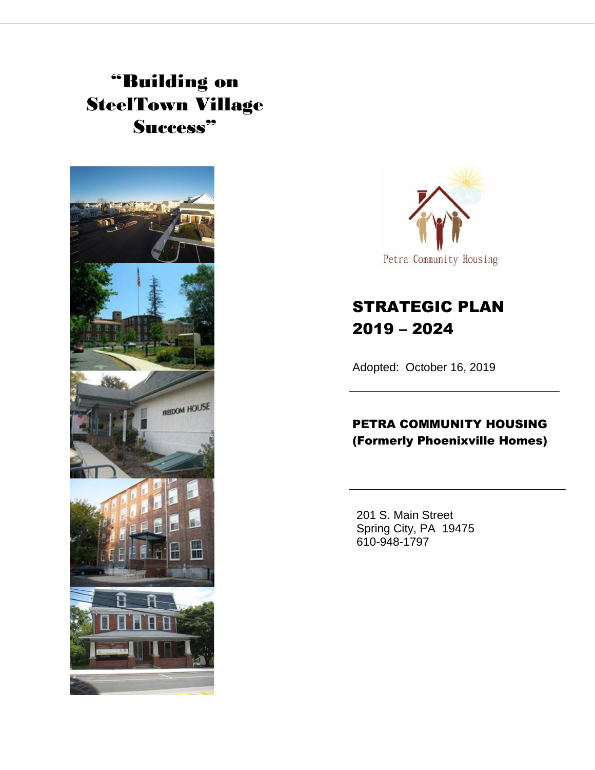# "Building on SteelTown Village Success"





## STRATEGIC PLAN 2019 – 2024

Adopted: October 16, 2019

### PETRA COMMUNITY HOUSING (Formerly Phoenixville Homes)

201 S. Main Street Spring City, PA 19475 610-948-1797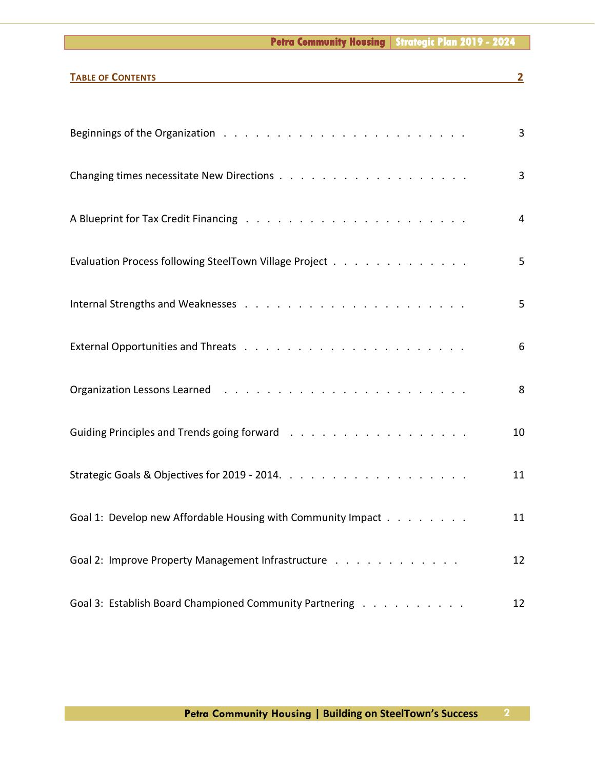#### **Petra Community Housing | Strategic Plan 2019 - 2024**

| <b>TABLE OF CONTENTS</b>                                                                                        | $\overline{2}$ |
|-----------------------------------------------------------------------------------------------------------------|----------------|
|                                                                                                                 |                |
|                                                                                                                 | 3              |
|                                                                                                                 | 3              |
|                                                                                                                 | 4              |
| Evaluation Process following SteelTown Village Project                                                          | 5              |
|                                                                                                                 | 5              |
|                                                                                                                 | 6              |
| Organization Lessons Learned (Alberta Alberta Alberta Alberta Alberta Alberta Alberta Alberta Alberta Alberta A | 8              |
|                                                                                                                 | 10             |
|                                                                                                                 | 11             |
| Goal 1: Develop new Affordable Housing with Community Impact                                                    | 11             |
| Goal 2: Improve Property Management Infrastructure                                                              | 12             |
| Goal 3: Establish Board Championed Community Partnering                                                         | 12             |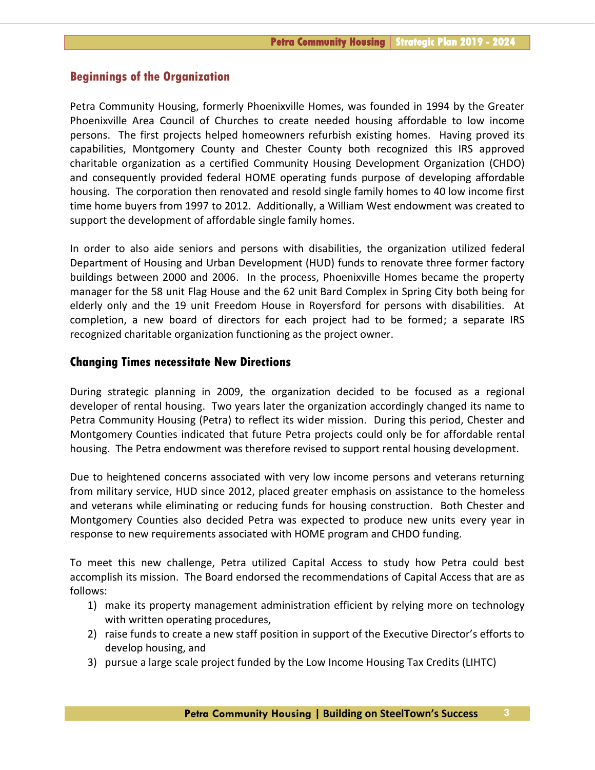#### **Beginnings of the Organization**

Petra Community Housing, formerly Phoenixville Homes, was founded in 1994 by the Greater Phoenixville Area Council of Churches to create needed housing affordable to low income persons. The first projects helped homeowners refurbish existing homes. Having proved its capabilities, Montgomery County and Chester County both recognized this IRS approved charitable organization as a certified Community Housing Development Organization (CHDO) and consequently provided federal HOME operating funds purpose of developing affordable housing. The corporation then renovated and resold single family homes to 40 low income first time home buyers from 1997 to 2012. Additionally, a William West endowment was created to support the development of affordable single family homes.

In order to also aide seniors and persons with disabilities, the organization utilized federal Department of Housing and Urban Development (HUD) funds to renovate three former factory buildings between 2000 and 2006. In the process, Phoenixville Homes became the property manager for the 58 unit Flag House and the 62 unit Bard Complex in Spring City both being for elderly only and the 19 unit Freedom House in Royersford for persons with disabilities. At completion, a new board of directors for each project had to be formed; a separate IRS recognized charitable organization functioning as the project owner.

#### **Changing Times necessitate New Directions**

During strategic planning in 2009, the organization decided to be focused as a regional developer of rental housing. Two years later the organization accordingly changed its name to Petra Community Housing (Petra) to reflect its wider mission. During this period, Chester and Montgomery Counties indicated that future Petra projects could only be for affordable rental housing. The Petra endowment was therefore revised to support rental housing development.

Due to heightened concerns associated with very low income persons and veterans returning from military service, HUD since 2012, placed greater emphasis on assistance to the homeless and veterans while eliminating or reducing funds for housing construction. Both Chester and Montgomery Counties also decided Petra was expected to produce new units every year in response to new requirements associated with HOME program and CHDO funding.

To meet this new challenge, Petra utilized Capital Access to study how Petra could best accomplish its mission. The Board endorsed the recommendations of Capital Access that are as follows:

- 1) make its property management administration efficient by relying more on technology with written operating procedures,
- 2) raise funds to create a new staff position in support of the Executive Director's efforts to develop housing, and
- 3) pursue a large scale project funded by the Low Income Housing Tax Credits (LIHTC)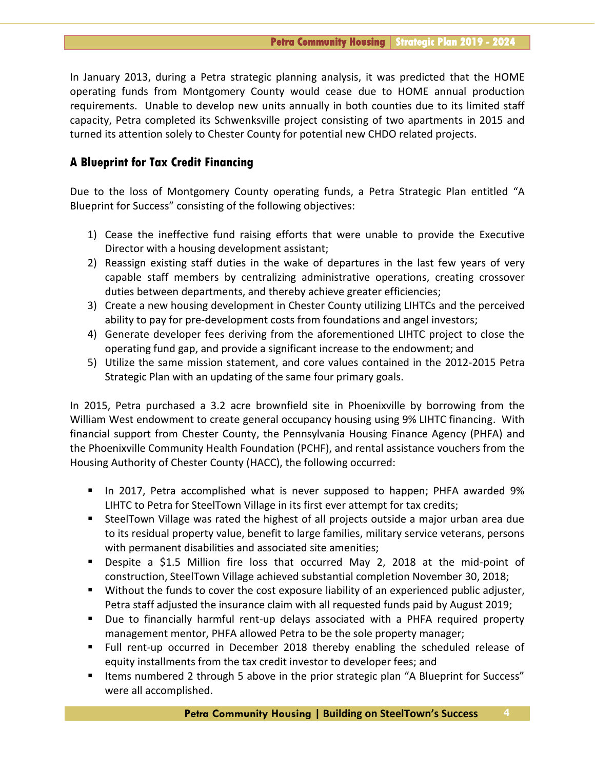In January 2013, during a Petra strategic planning analysis, it was predicted that the HOME operating funds from Montgomery County would cease due to HOME annual production requirements. Unable to develop new units annually in both counties due to its limited staff capacity, Petra completed its Schwenksville project consisting of two apartments in 2015 and turned its attention solely to Chester County for potential new CHDO related projects.

#### **A Blueprint for Tax Credit Financing**

Due to the loss of Montgomery County operating funds, a Petra Strategic Plan entitled "A Blueprint for Success" consisting of the following objectives:

- 1) Cease the ineffective fund raising efforts that were unable to provide the Executive Director with a housing development assistant;
- 2) Reassign existing staff duties in the wake of departures in the last few years of very capable staff members by centralizing administrative operations, creating crossover duties between departments, and thereby achieve greater efficiencies;
- 3) Create a new housing development in Chester County utilizing LIHTCs and the perceived ability to pay for pre-development costs from foundations and angel investors;
- 4) Generate developer fees deriving from the aforementioned LIHTC project to close the operating fund gap, and provide a significant increase to the endowment; and
- 5) Utilize the same mission statement, and core values contained in the 2012-2015 Petra Strategic Plan with an updating of the same four primary goals.

In 2015, Petra purchased a 3.2 acre brownfield site in Phoenixville by borrowing from the William West endowment to create general occupancy housing using 9% LIHTC financing. With financial support from Chester County, the Pennsylvania Housing Finance Agency (PHFA) and the Phoenixville Community Health Foundation (PCHF), and rental assistance vouchers from the Housing Authority of Chester County (HACC), the following occurred:

- In 2017, Petra accomplished what is never supposed to happen; PHFA awarded 9% LIHTC to Petra for SteelTown Village in its first ever attempt for tax credits;
- SteelTown Village was rated the highest of all projects outside a major urban area due to its residual property value, benefit to large families, military service veterans, persons with permanent disabilities and associated site amenities;
- Despite a \$1.5 Million fire loss that occurred May 2, 2018 at the mid-point of construction, SteelTown Village achieved substantial completion November 30, 2018;
- Without the funds to cover the cost exposure liability of an experienced public adjuster, Petra staff adjusted the insurance claim with all requested funds paid by August 2019;
- Due to financially harmful rent-up delays associated with a PHFA required property management mentor, PHFA allowed Petra to be the sole property manager;
- Full rent-up occurred in December 2018 thereby enabling the scheduled release of equity installments from the tax credit investor to developer fees; and
- Items numbered 2 through 5 above in the prior strategic plan "A Blueprint for Success" were all accomplished.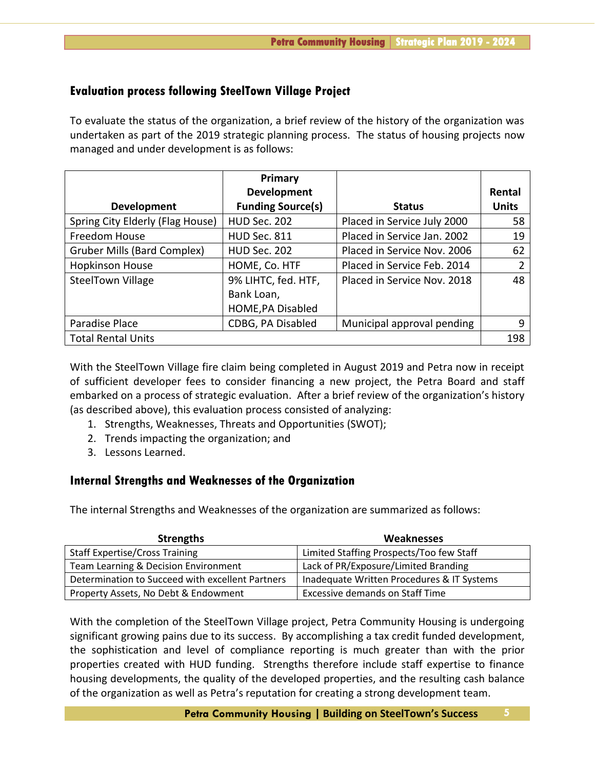#### **Evaluation process following SteelTown Village Project**

To evaluate the status of the organization, a brief review of the history of the organization was undertaken as part of the 2019 strategic planning process. The status of housing projects now managed and under development is as follows:

|                                    | Primary                  |                             |              |
|------------------------------------|--------------------------|-----------------------------|--------------|
|                                    | <b>Development</b>       |                             | Rental       |
| Development                        | <b>Funding Source(s)</b> | <b>Status</b>               | <b>Units</b> |
| Spring City Elderly (Flag House)   | HUD Sec. 202             | Placed in Service July 2000 | 58           |
| Freedom House                      | <b>HUD Sec. 811</b>      | Placed in Service Jan. 2002 | 19           |
| <b>Gruber Mills (Bard Complex)</b> | <b>HUD Sec. 202</b>      | Placed in Service Nov. 2006 | 62           |
| <b>Hopkinson House</b>             | HOME, Co. HTF            | Placed in Service Feb. 2014 | 2            |
| <b>SteelTown Village</b>           | 9% LIHTC, fed. HTF,      | Placed in Service Nov. 2018 | 48           |
|                                    | Bank Loan,               |                             |              |
|                                    | HOME, PA Disabled        |                             |              |
| Paradise Place                     | CDBG, PA Disabled        | Municipal approval pending  | 9            |
| <b>Total Rental Units</b>          |                          |                             | 198          |

With the SteelTown Village fire claim being completed in August 2019 and Petra now in receipt of sufficient developer fees to consider financing a new project, the Petra Board and staff embarked on a process of strategic evaluation. After a brief review of the organization's history (as described above), this evaluation process consisted of analyzing:

- 1. Strengths, Weaknesses, Threats and Opportunities (SWOT);
- 2. Trends impacting the organization; and
- 3. Lessons Learned.

#### **Internal Strengths and Weaknesses of the Organization**

The internal Strengths and Weaknesses of the organization are summarized as follows:

| <b>Strengths</b>                                 | <b>Weaknesses</b>                          |
|--------------------------------------------------|--------------------------------------------|
| <b>Staff Expertise/Cross Training</b>            | Limited Staffing Prospects/Too few Staff   |
| Team Learning & Decision Environment             | Lack of PR/Exposure/Limited Branding       |
| Determination to Succeed with excellent Partners | Inadequate Written Procedures & IT Systems |
| Property Assets, No Debt & Endowment             | <b>Excessive demands on Staff Time</b>     |

With the completion of the SteelTown Village project, Petra Community Housing is undergoing significant growing pains due to its success. By accomplishing a tax credit funded development, the sophistication and level of compliance reporting is much greater than with the prior properties created with HUD funding. Strengths therefore include staff expertise to finance housing developments, the quality of the developed properties, and the resulting cash balance of the organization as well as Petra's reputation for creating a strong development team.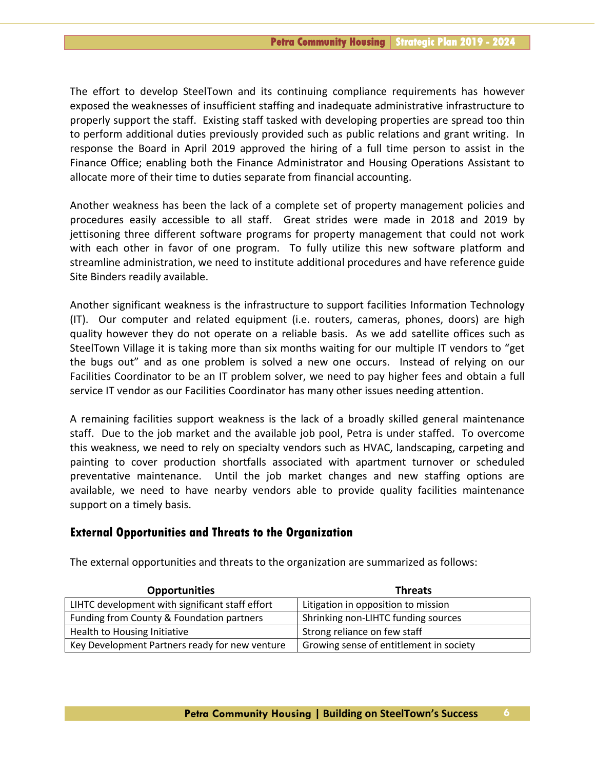The effort to develop SteelTown and its continuing compliance requirements has however exposed the weaknesses of insufficient staffing and inadequate administrative infrastructure to properly support the staff. Existing staff tasked with developing properties are spread too thin to perform additional duties previously provided such as public relations and grant writing. In response the Board in April 2019 approved the hiring of a full time person to assist in the Finance Office; enabling both the Finance Administrator and Housing Operations Assistant to allocate more of their time to duties separate from financial accounting.

Another weakness has been the lack of a complete set of property management policies and procedures easily accessible to all staff. Great strides were made in 2018 and 2019 by jettisoning three different software programs for property management that could not work with each other in favor of one program. To fully utilize this new software platform and streamline administration, we need to institute additional procedures and have reference guide Site Binders readily available.

Another significant weakness is the infrastructure to support facilities Information Technology (IT). Our computer and related equipment (i.e. routers, cameras, phones, doors) are high quality however they do not operate on a reliable basis. As we add satellite offices such as SteelTown Village it is taking more than six months waiting for our multiple IT vendors to "get the bugs out" and as one problem is solved a new one occurs. Instead of relying on our Facilities Coordinator to be an IT problem solver, we need to pay higher fees and obtain a full service IT vendor as our Facilities Coordinator has many other issues needing attention.

A remaining facilities support weakness is the lack of a broadly skilled general maintenance staff. Due to the job market and the available job pool, Petra is under staffed. To overcome this weakness, we need to rely on specialty vendors such as HVAC, landscaping, carpeting and painting to cover production shortfalls associated with apartment turnover or scheduled preventative maintenance. Until the job market changes and new staffing options are available, we need to have nearby vendors able to provide quality facilities maintenance support on a timely basis.

#### **External Opportunities and Threats to the Organization**

| <b>Opportunities</b>                            | <b>Threats</b>                          |
|-------------------------------------------------|-----------------------------------------|
| LIHTC development with significant staff effort | Litigation in opposition to mission     |
| Funding from County & Foundation partners       | Shrinking non-LIHTC funding sources     |
| Health to Housing Initiative                    | Strong reliance on few staff            |
| Key Development Partners ready for new venture  | Growing sense of entitlement in society |

The external opportunities and threats to the organization are summarized as follows: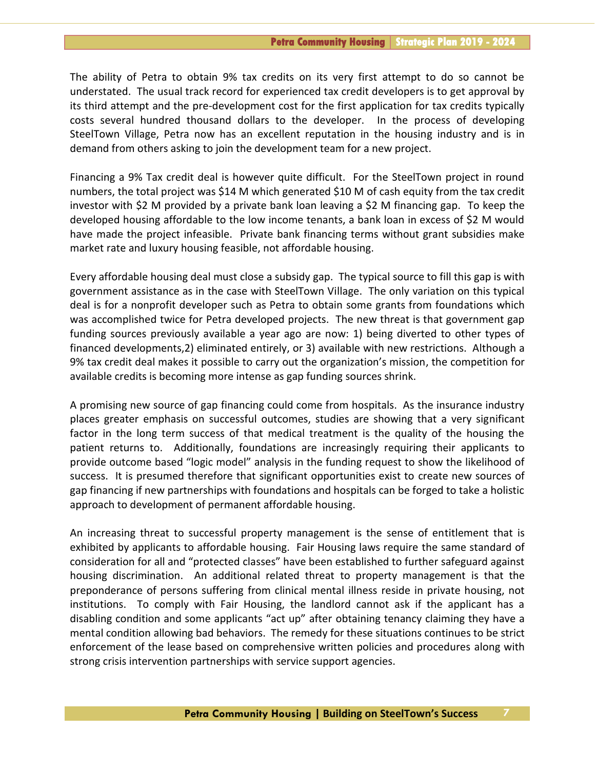The ability of Petra to obtain 9% tax credits on its very first attempt to do so cannot be understated. The usual track record for experienced tax credit developers is to get approval by its third attempt and the pre-development cost for the first application for tax credits typically costs several hundred thousand dollars to the developer. In the process of developing SteelTown Village, Petra now has an excellent reputation in the housing industry and is in demand from others asking to join the development team for a new project.

Financing a 9% Tax credit deal is however quite difficult. For the SteelTown project in round numbers, the total project was \$14 M which generated \$10 M of cash equity from the tax credit investor with \$2 M provided by a private bank loan leaving a \$2 M financing gap. To keep the developed housing affordable to the low income tenants, a bank loan in excess of \$2 M would have made the project infeasible. Private bank financing terms without grant subsidies make market rate and luxury housing feasible, not affordable housing.

Every affordable housing deal must close a subsidy gap. The typical source to fill this gap is with government assistance as in the case with SteelTown Village. The only variation on this typical deal is for a nonprofit developer such as Petra to obtain some grants from foundations which was accomplished twice for Petra developed projects. The new threat is that government gap funding sources previously available a year ago are now: 1) being diverted to other types of financed developments,2) eliminated entirely, or 3) available with new restrictions. Although a 9% tax credit deal makes it possible to carry out the organization's mission, the competition for available credits is becoming more intense as gap funding sources shrink.

A promising new source of gap financing could come from hospitals. As the insurance industry places greater emphasis on successful outcomes, studies are showing that a very significant factor in the long term success of that medical treatment is the quality of the housing the patient returns to. Additionally, foundations are increasingly requiring their applicants to provide outcome based "logic model" analysis in the funding request to show the likelihood of success. It is presumed therefore that significant opportunities exist to create new sources of gap financing if new partnerships with foundations and hospitals can be forged to take a holistic approach to development of permanent affordable housing.

An increasing threat to successful property management is the sense of entitlement that is exhibited by applicants to affordable housing. Fair Housing laws require the same standard of consideration for all and "protected classes" have been established to further safeguard against housing discrimination. An additional related threat to property management is that the preponderance of persons suffering from clinical mental illness reside in private housing, not institutions. To comply with Fair Housing, the landlord cannot ask if the applicant has a disabling condition and some applicants "act up" after obtaining tenancy claiming they have a mental condition allowing bad behaviors. The remedy for these situations continues to be strict enforcement of the lease based on comprehensive written policies and procedures along with strong crisis intervention partnerships with service support agencies.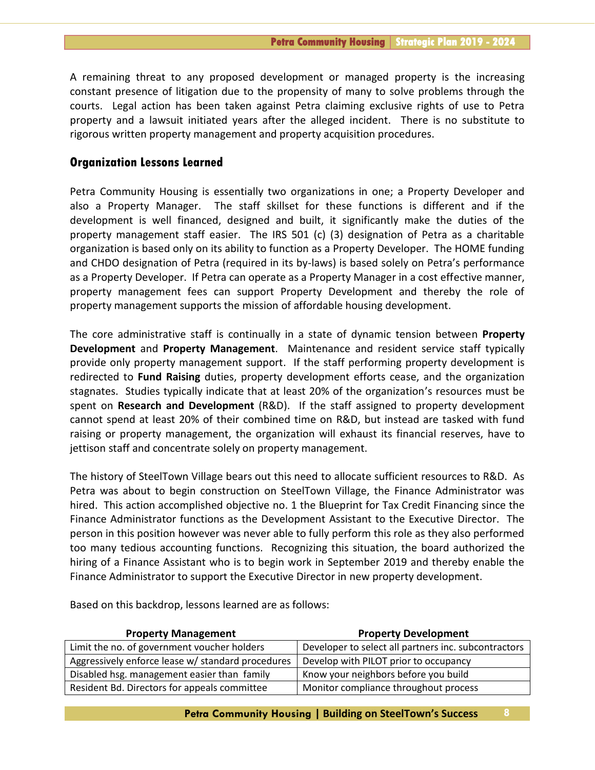A remaining threat to any proposed development or managed property is the increasing constant presence of litigation due to the propensity of many to solve problems through the courts. Legal action has been taken against Petra claiming exclusive rights of use to Petra property and a lawsuit initiated years after the alleged incident. There is no substitute to rigorous written property management and property acquisition procedures.

#### **Organization Lessons Learned**

Petra Community Housing is essentially two organizations in one; a Property Developer and also a Property Manager. The staff skillset for these functions is different and if the development is well financed, designed and built, it significantly make the duties of the property management staff easier. The IRS 501 (c) (3) designation of Petra as a charitable organization is based only on its ability to function as a Property Developer. The HOME funding and CHDO designation of Petra (required in its by-laws) is based solely on Petra's performance as a Property Developer. If Petra can operate as a Property Manager in a cost effective manner, property management fees can support Property Development and thereby the role of property management supports the mission of affordable housing development.

The core administrative staff is continually in a state of dynamic tension between **Property Development** and **Property Management**. Maintenance and resident service staff typically provide only property management support. If the staff performing property development is redirected to **Fund Raising** duties, property development efforts cease, and the organization stagnates. Studies typically indicate that at least 20% of the organization's resources must be spent on **Research and Development** (R&D). If the staff assigned to property development cannot spend at least 20% of their combined time on R&D, but instead are tasked with fund raising or property management, the organization will exhaust its financial reserves, have to jettison staff and concentrate solely on property management.

The history of SteelTown Village bears out this need to allocate sufficient resources to R&D. As Petra was about to begin construction on SteelTown Village, the Finance Administrator was hired. This action accomplished objective no. 1 the Blueprint for Tax Credit Financing since the Finance Administrator functions as the Development Assistant to the Executive Director. The person in this position however was never able to fully perform this role as they also performed too many tedious accounting functions. Recognizing this situation, the board authorized the hiring of a Finance Assistant who is to begin work in September 2019 and thereby enable the Finance Administrator to support the Executive Director in new property development.

| <b>Property Management</b>                        | <b>Property Development</b>                          |
|---------------------------------------------------|------------------------------------------------------|
| Limit the no. of government voucher holders       | Developer to select all partners inc. subcontractors |
| Aggressively enforce lease w/ standard procedures | Develop with PILOT prior to occupancy                |
| Disabled hsg. management easier than family       | Know your neighbors before you build                 |
| Resident Bd. Directors for appeals committee      | Monitor compliance throughout process                |

Based on this backdrop, lessons learned are as follows: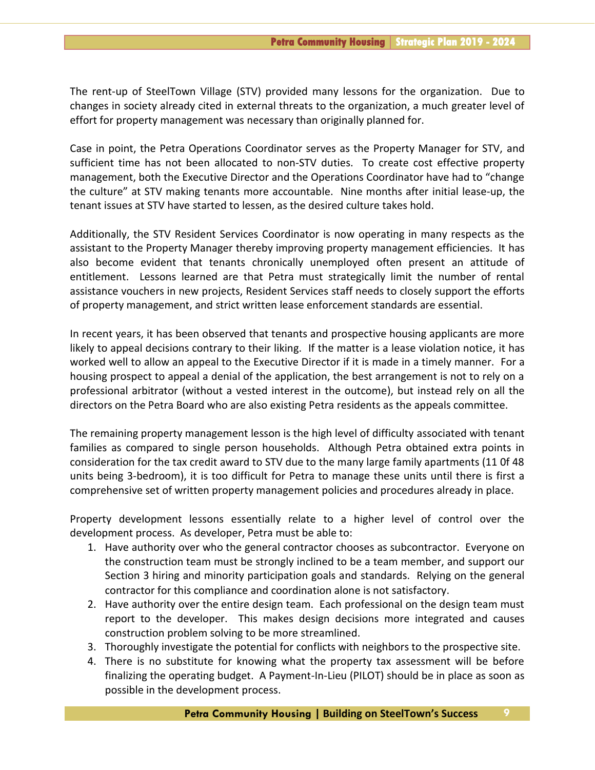The rent-up of SteelTown Village (STV) provided many lessons for the organization. Due to changes in society already cited in external threats to the organization, a much greater level of effort for property management was necessary than originally planned for.

Case in point, the Petra Operations Coordinator serves as the Property Manager for STV, and sufficient time has not been allocated to non-STV duties. To create cost effective property management, both the Executive Director and the Operations Coordinator have had to "change the culture" at STV making tenants more accountable. Nine months after initial lease-up, the tenant issues at STV have started to lessen, as the desired culture takes hold.

Additionally, the STV Resident Services Coordinator is now operating in many respects as the assistant to the Property Manager thereby improving property management efficiencies. It has also become evident that tenants chronically unemployed often present an attitude of entitlement. Lessons learned are that Petra must strategically limit the number of rental assistance vouchers in new projects, Resident Services staff needs to closely support the efforts of property management, and strict written lease enforcement standards are essential.

In recent years, it has been observed that tenants and prospective housing applicants are more likely to appeal decisions contrary to their liking. If the matter is a lease violation notice, it has worked well to allow an appeal to the Executive Director if it is made in a timely manner. For a housing prospect to appeal a denial of the application, the best arrangement is not to rely on a professional arbitrator (without a vested interest in the outcome), but instead rely on all the directors on the Petra Board who are also existing Petra residents as the appeals committee.

The remaining property management lesson is the high level of difficulty associated with tenant families as compared to single person households. Although Petra obtained extra points in consideration for the tax credit award to STV due to the many large family apartments (11 0f 48 units being 3-bedroom), it is too difficult for Petra to manage these units until there is first a comprehensive set of written property management policies and procedures already in place.

Property development lessons essentially relate to a higher level of control over the development process. As developer, Petra must be able to:

- 1. Have authority over who the general contractor chooses as subcontractor. Everyone on the construction team must be strongly inclined to be a team member, and support our Section 3 hiring and minority participation goals and standards. Relying on the general contractor for this compliance and coordination alone is not satisfactory.
- 2. Have authority over the entire design team. Each professional on the design team must report to the developer. This makes design decisions more integrated and causes construction problem solving to be more streamlined.
- 3. Thoroughly investigate the potential for conflicts with neighbors to the prospective site.
- 4. There is no substitute for knowing what the property tax assessment will be before finalizing the operating budget. A Payment-In-Lieu (PILOT) should be in place as soon as possible in the development process.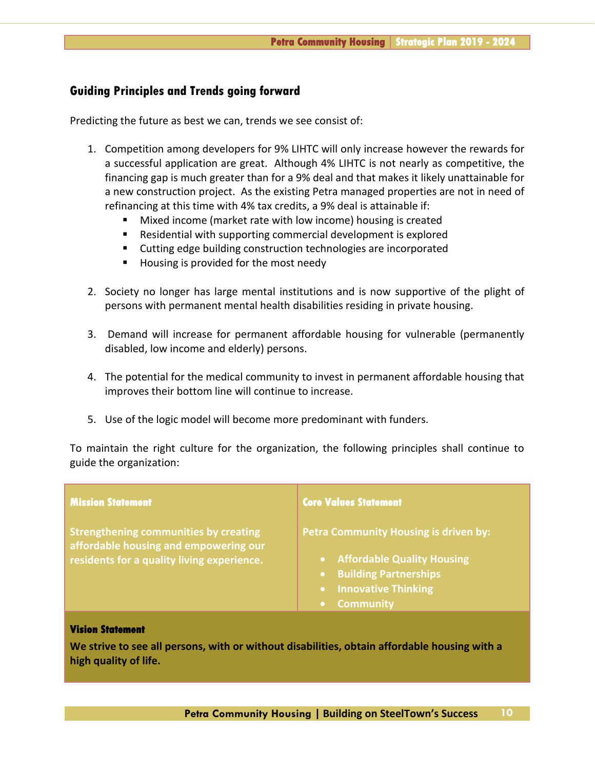#### **Guiding Principles and Trends going forward**

Predicting the future as best we can, trends we see consist of:

- 1. Competition among developers for 9% LIHTC will only increase however the rewards for a successful application are great. Although 4% LIHTC is not nearly as competitive, the financing gap is much greater than for a 9% deal and that makes it likely unattainable for a new construction project. As the existing Petra managed properties are not in need of refinancing at this time with 4% tax credits, a 9% deal is attainable if:
	- Mixed income (market rate with low income) housing is created
	- Residential with supporting commercial development is explored
	- Cutting edge building construction technologies are incorporated
	- Housing is provided for the most needy
- 2. Society no longer has large mental institutions and is now supportive of the plight of persons with permanent mental health disabilities residing in private housing.
- 3. Demand will increase for permanent affordable housing for vulnerable (permanently disabled, low income and elderly) persons.
- 4. The potential for the medical community to invest in permanent affordable housing that improves their bottom line will continue to increase.
- 5. Use of the logic model will become more predominant with funders.

To maintain the right culture for the organization, the following principles shall continue to guide the organization:

| <b>Mission Statement</b>                                                                                                            | <b>Core Values Statement</b>                                                                                                                                                          |
|-------------------------------------------------------------------------------------------------------------------------------------|---------------------------------------------------------------------------------------------------------------------------------------------------------------------------------------|
| <b>Strengthening communities by creating</b><br>affordable housing and empowering our<br>residents for a quality living experience. | <b>Petra Community Housing is driven by:</b><br><b>Affordable Quality Housing</b><br><b>Building Partnerships</b><br><b>Innovative Thinking</b><br>$\bullet$<br><b>Community</b><br>O |
| <b>Vision Statement</b><br>We strive to see all nersons, with or without disabilities, obtain affordable housing with a             |                                                                                                                                                                                       |

**We strive to see all persons, with or without disabilities, obtain affordable housing with a high quality of life.**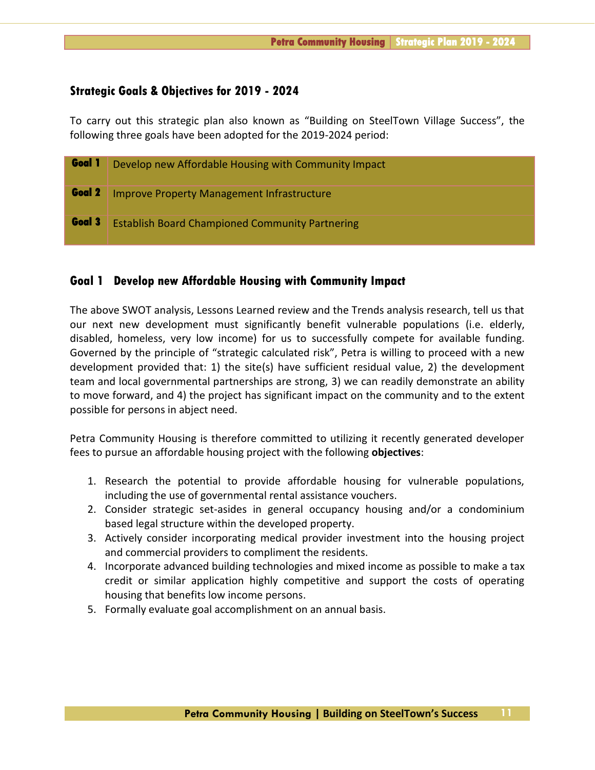#### **Strategic Goals & Objectives for 2019 - 2024**

To carry out this strategic plan also known as "Building on SteelTown Village Success", the following three goals have been adopted for the 2019-2024 period:

| Goal 1 | Develop new Affordable Housing with Community Impact   |
|--------|--------------------------------------------------------|
| Goal 2 | <b>Improve Property Management Infrastructure</b>      |
| Goal 3 | <b>Establish Board Championed Community Partnering</b> |

#### **Goal 1 Develop new Affordable Housing with Community Impact**

The above SWOT analysis, Lessons Learned review and the Trends analysis research, tell us that our next new development must significantly benefit vulnerable populations (i.e. elderly, disabled, homeless, very low income) for us to successfully compete for available funding. Governed by the principle of "strategic calculated risk", Petra is willing to proceed with a new development provided that: 1) the site(s) have sufficient residual value, 2) the development team and local governmental partnerships are strong, 3) we can readily demonstrate an ability to move forward, and 4) the project has significant impact on the community and to the extent possible for persons in abject need.

Petra Community Housing is therefore committed to utilizing it recently generated developer fees to pursue an affordable housing project with the following **objectives**:

- 1. Research the potential to provide affordable housing for vulnerable populations, including the use of governmental rental assistance vouchers.
- 2. Consider strategic set-asides in general occupancy housing and/or a condominium based legal structure within the developed property.
- 3. Actively consider incorporating medical provider investment into the housing project and commercial providers to compliment the residents.
- 4. Incorporate advanced building technologies and mixed income as possible to make a tax credit or similar application highly competitive and support the costs of operating housing that benefits low income persons.
- 5. Formally evaluate goal accomplishment on an annual basis.